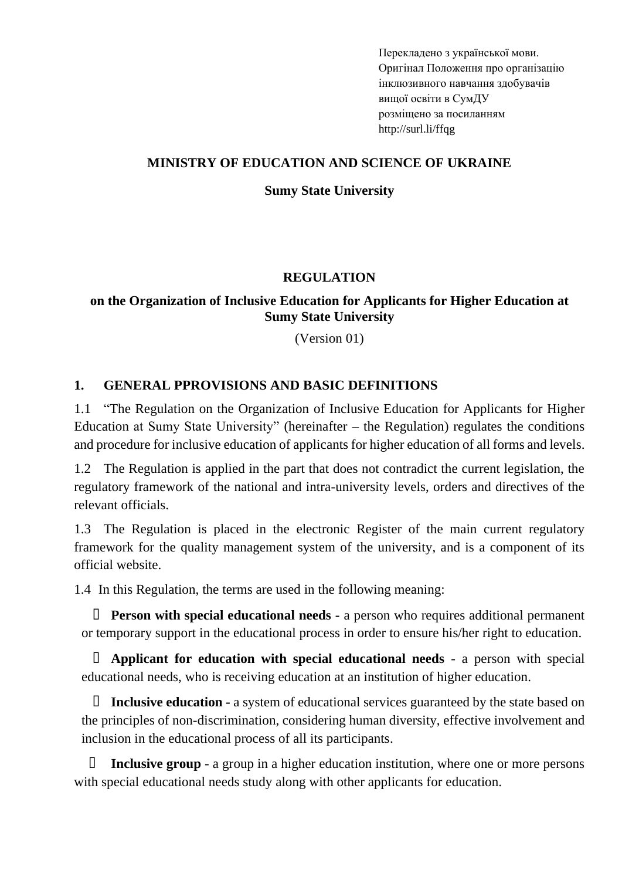Перекладено з української мови. Оригінал [Положення про організацію](https://normative.sumdu.edu.ua/?task=getfile&tmpl=component&id=c085eb61-8b04-ea11-8c46-001a4be6d04a&kind=1)  [інклюзивного навчання здобувачів](https://normative.sumdu.edu.ua/?task=getfile&tmpl=component&id=c085eb61-8b04-ea11-8c46-001a4be6d04a&kind=1)  [вищої освіти в СумДУ](https://normative.sumdu.edu.ua/?task=getfile&tmpl=component&id=c085eb61-8b04-ea11-8c46-001a4be6d04a&kind=1) розміщено за посиланням http://surl.li/ffqg

#### **MINISTRY OF EDUCATION AND SCIENCE OF UKRAINE**

#### **Sumy State University**

## **REGULATION**

## **on the Organization of Inclusive Education for Applicants for Higher Education at Sumy State University**

(Version 01)

## **1. GENERAL PPROVISIONS AND BASIC DEFINITIONS**

1.1 "The Regulation on the Organization of Inclusive Education for Applicants for Higher Education at Sumy State University" (hereinafter  $-$  the Regulation) regulates the conditions and procedure for inclusive education of applicants for higher education of all forms and levels.

1.2 The Regulation is applied in the part that does not contradict the current legislation, the regulatory framework of the national and intra-university levels, orders and directives of the relevant officials.

1.3 The Regulation is placed in the electronic Register of the main current regulatory framework for the quality management system of the university, and is a component of its official website.

1.4 In this Regulation, the terms are used in the following meaning:

- **Person with special educational needs -** a person who requires additional permanent or temporary support in the educational process in order to ensure his/her right to education.

- **Applicant for education with special educational needs** - a person with special educational needs, who is receiving education at an institution of higher education.

- **Inclusive education -** a system of educational services guaranteed by the state based on the principles of non-discrimination, considering human diversity, effective involvement and inclusion in the educational process of all its participants.

**Inclusive group** - a group in a higher education institution, where one or more persons with special educational needs study along with other applicants for education.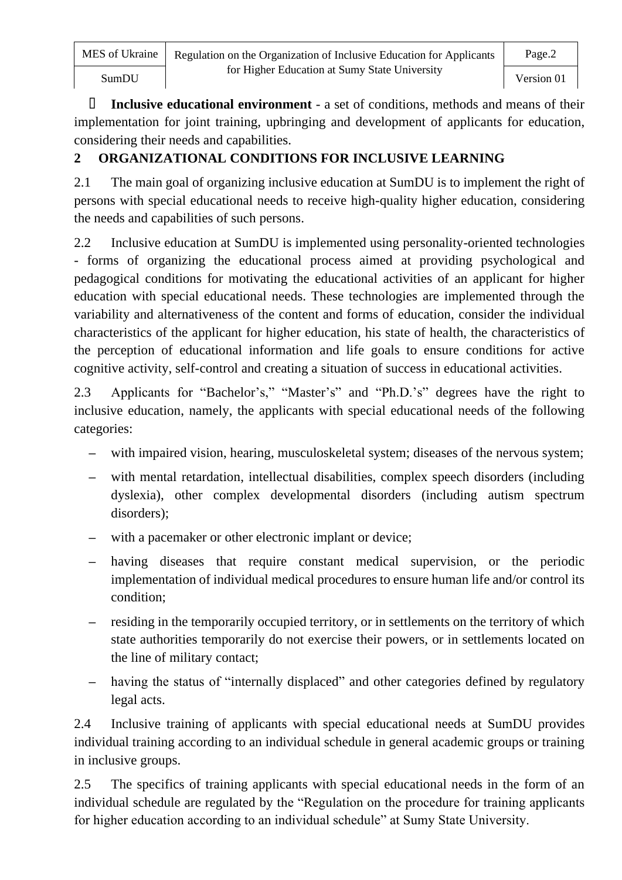Inclusive educational environment - a set of conditions, methods and means of their implementation for joint training, upbringing and development of applicants for education, considering their needs and capabilities.

# **2 ORGANIZATIONAL CONDITIONS FOR INCLUSIVE LEARNING**

2.1 The main goal of organizing inclusive education at SumDU is to implement the right of persons with special educational needs to receive high-quality higher education, considering the needs and capabilities of such persons.

2.2 Inclusive education at SumDU is implemented using personality-oriented technologies - forms of organizing the educational process aimed at providing psychological and pedagogical conditions for motivating the educational activities of an applicant for higher education with special educational needs. These technologies are implemented through the variability and alternativeness of the content and forms of education, consider the individual characteristics of the applicant for higher education, his state of health, the characteristics of the perception of educational information and life goals to ensure conditions for active cognitive activity, self-control and creating a situation of success in educational activities.

2.3 Applicants for "Bachelor's," "Master's" and "Ph.D.'s" degrees have the right to inclusive education, namely, the applicants with special educational needs of the following categories:

- **–** with impaired vision, hearing, musculoskeletal system; diseases of the nervous system;
- **–** with mental retardation, intellectual disabilities, complex speech disorders (including dyslexia), other complex developmental disorders (including autism spectrum disorders);
- with a pacemaker or other electronic implant or device;
- **–** having diseases that require constant medical supervision, or the periodic implementation of individual medical procedures to ensure human life and/or control its condition;
- **–** residing in the temporarily occupied territory, or in settlements on the territory of which state authorities temporarily do not exercise their powers, or in settlements located on the line of military contact;
- **–** having the status of "internally displaced" and other categories defined by regulatory legal acts.

2.4 Inclusive training of applicants with special educational needs at SumDU provides individual training according to an individual schedule in general academic groups or training in inclusive groups.

2.5 The specifics of training applicants with special educational needs in the form of an individual schedule are regulated by the "Regulation on the procedure for training applicants for higher education according to an individual schedule" at Sumy State University.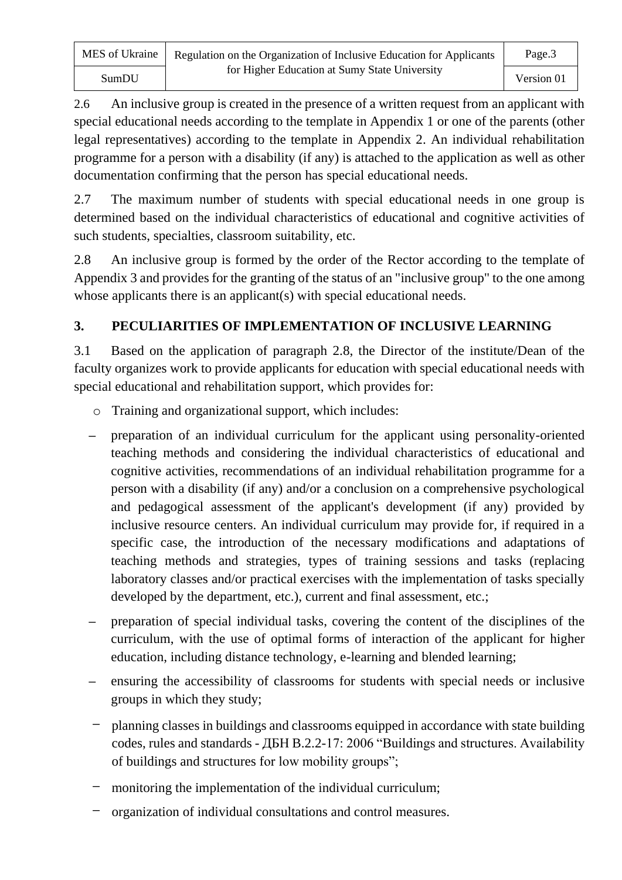2.6 An inclusive group is created in the presence of a written request from an applicant with special educational needs according to the template in Appendix 1 or one of the parents (other legal representatives) according to the template in Appendix 2. An individual rehabilitation programme for a person with a disability (if any) is attached to the application as well as other documentation confirming that the person has special educational needs.

2.7 The maximum number of students with special educational needs in one group is determined based on the individual characteristics of educational and cognitive activities of such students, specialties, classroom suitability, etc.

2.8 An inclusive group is formed by the order of the Rector according to the template of Appendix 3 and provides for the granting of the status of an "inclusive group" to the one among whose applicants there is an applicant(s) with special educational needs.

## **3. PECULIARITIES OF IMPLEMENTATION OF INCLUSIVE LEARNING**

3.1 Based on the application of paragraph 2.8, the Director of the institute/Dean of the faculty organizes work to provide applicants for education with special educational needs with special educational and rehabilitation support, which provides for:

- o Training and organizational support, which includes:
- **–** preparation of an individual curriculum for the applicant using personality-oriented teaching methods and considering the individual characteristics of educational and cognitive activities, recommendations of an individual rehabilitation programme for a person with a disability (if any) and/or a conclusion on a comprehensive psychological and pedagogical assessment of the applicant's development (if any) provided by inclusive resource centers. An individual curriculum may provide for, if required in a specific case, the introduction of the necessary modifications and adaptations of teaching methods and strategies, types of training sessions and tasks (replacing laboratory classes and/or practical exercises with the implementation of tasks specially developed by the department, etc.), current and final assessment, etc.;
- **–** preparation of special individual tasks, covering the content of the disciplines of the curriculum, with the use of optimal forms of interaction of the applicant for higher education, including distance technology, e-learning and blended learning;
- **–** ensuring the accessibility of classrooms for students with special needs or inclusive groups in which they study;
- **–** planning classes in buildings and classrooms equipped in accordance with state building codes, rules and standards - ДБН B.2.2-17: 2006 "Buildings and structures. Availability of buildings and structures for low mobility groups";
- **–** monitoring the implementation of the individual curriculum;
- **–** organization of individual consultations and control measures.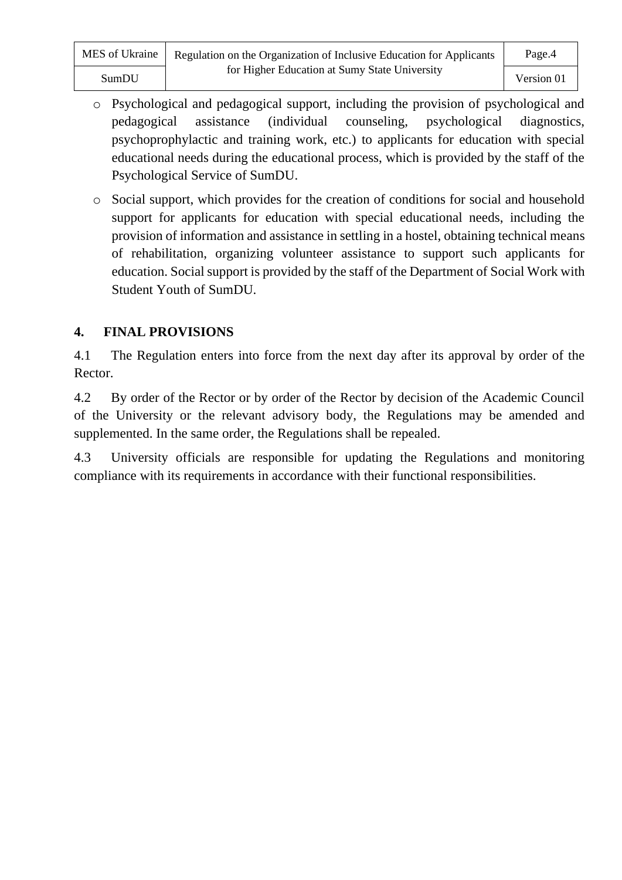| MES of Ukraine | Regulation on the Organization of Inclusive Education for Applicants | Page.4     |
|----------------|----------------------------------------------------------------------|------------|
| SumDU          | for Higher Education at Sumy State University                        | Version 01 |

- o Psychological and pedagogical support, including the provision of psychological and pedagogical assistance (individual counseling, psychological diagnostics, psychoprophylactic and training work, etc.) to applicants for education with special educational needs during the educational process, which is provided by the staff of the Psychological Service of SumDU.
- o Social support, which provides for the creation of conditions for social and household support for applicants for education with special educational needs, including the provision of information and assistance in settling in a hostel, obtaining technical means of rehabilitation, organizing volunteer assistance to support such applicants for education. Social support is provided by the staff of the Department of Social Work with Student Youth of SumDU.

## **4. FINAL PROVISIONS**

4.1 The Regulation enters into force from the next day after its approval by order of the Rector.

4.2 By order of the Rector or by order of the Rector by decision of the Academic Council of the University or the relevant advisory body, the Regulations may be amended and supplemented. In the same order, the Regulations shall be repealed.

4.3 University officials are responsible for updating the Regulations and monitoring compliance with its requirements in accordance with their functional responsibilities.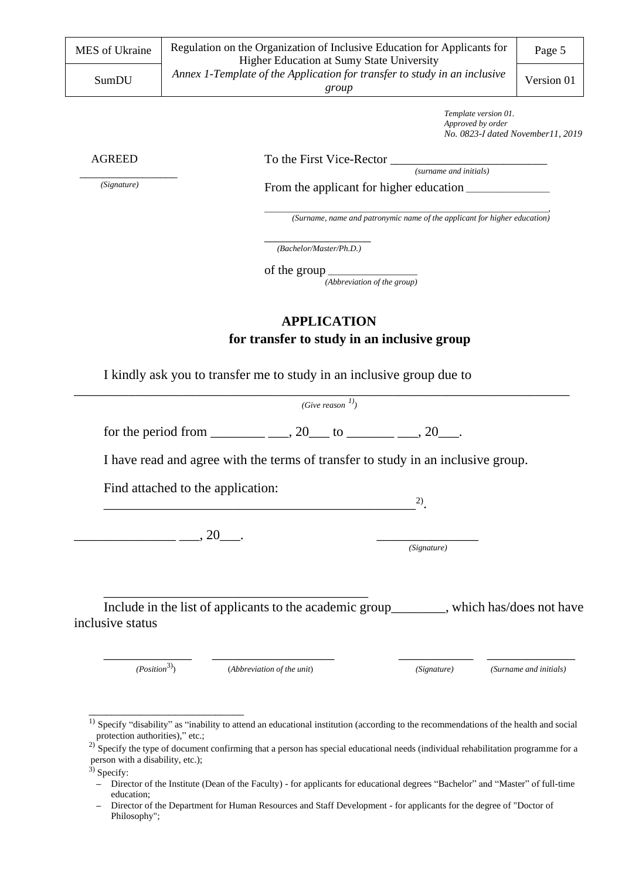| MES of Ukraine                                    | Regulation on the Organization of Inclusive Education for Applicants for<br>Higher Education at Sumy State University                                                                                                                                                                                                                                                                         | Page 5                 |  |
|---------------------------------------------------|-----------------------------------------------------------------------------------------------------------------------------------------------------------------------------------------------------------------------------------------------------------------------------------------------------------------------------------------------------------------------------------------------|------------------------|--|
| SumDU                                             | Annex 1-Template of the Application for transfer to study in an inclusive<br>group                                                                                                                                                                                                                                                                                                            |                        |  |
|                                                   | Template version 01.<br>Approved by order<br>No. 0823-I dated November11, 2019                                                                                                                                                                                                                                                                                                                |                        |  |
| <b>AGREED</b>                                     |                                                                                                                                                                                                                                                                                                                                                                                               |                        |  |
|                                                   |                                                                                                                                                                                                                                                                                                                                                                                               |                        |  |
| (Signature)                                       |                                                                                                                                                                                                                                                                                                                                                                                               |                        |  |
|                                                   | (Surname, name and patronymic name of the applicant for higher education)                                                                                                                                                                                                                                                                                                                     |                        |  |
|                                                   | (Bachelor/Master/Ph.D.)                                                                                                                                                                                                                                                                                                                                                                       |                        |  |
|                                                   | of the group $\frac{1}{\sqrt{1-\frac{1}{2}}}\left\{ -\frac{1}{2} + \frac{1}{2} + \frac{1}{2} + \frac{1}{2} + \frac{1}{2} + \frac{1}{2} + \frac{1}{2} + \frac{1}{2} + \frac{1}{2} + \frac{1}{2} + \frac{1}{2} + \frac{1}{2} + \frac{1}{2} + \frac{1}{2} + \frac{1}{2} + \frac{1}{2} + \frac{1}{2} + \frac{1}{2} + \frac{1}{2} + \frac{1}{2} + \frac{1}{2} + \frac{1}{2} + \frac{1}{2} + \frac$ |                        |  |
|                                                   | (Abbreviation of the group)                                                                                                                                                                                                                                                                                                                                                                   |                        |  |
|                                                   | <b>APPLICATION</b>                                                                                                                                                                                                                                                                                                                                                                            |                        |  |
|                                                   | for transfer to study in an inclusive group                                                                                                                                                                                                                                                                                                                                                   |                        |  |
|                                                   |                                                                                                                                                                                                                                                                                                                                                                                               |                        |  |
|                                                   | I kindly ask you to transfer me to study in an inclusive group due to                                                                                                                                                                                                                                                                                                                         |                        |  |
|                                                   | (Give reason $\binom{1}{1}$                                                                                                                                                                                                                                                                                                                                                                   |                        |  |
|                                                   |                                                                                                                                                                                                                                                                                                                                                                                               |                        |  |
|                                                   | I have read and agree with the terms of transfer to study in an inclusive group.                                                                                                                                                                                                                                                                                                              |                        |  |
|                                                   | Find attached to the application:                                                                                                                                                                                                                                                                                                                                                             |                        |  |
|                                                   | 2)                                                                                                                                                                                                                                                                                                                                                                                            |                        |  |
|                                                   |                                                                                                                                                                                                                                                                                                                                                                                               |                        |  |
|                                                   | $\frac{1}{20}$ , 20                                                                                                                                                                                                                                                                                                                                                                           |                        |  |
|                                                   |                                                                                                                                                                                                                                                                                                                                                                                               |                        |  |
|                                                   | (Signature)                                                                                                                                                                                                                                                                                                                                                                                   |                        |  |
|                                                   |                                                                                                                                                                                                                                                                                                                                                                                               |                        |  |
|                                                   |                                                                                                                                                                                                                                                                                                                                                                                               |                        |  |
|                                                   | Include in the list of applicants to the academic group_______, which has/does not have                                                                                                                                                                                                                                                                                                       |                        |  |
| inclusive status                                  |                                                                                                                                                                                                                                                                                                                                                                                               |                        |  |
|                                                   |                                                                                                                                                                                                                                                                                                                                                                                               |                        |  |
|                                                   |                                                                                                                                                                                                                                                                                                                                                                                               |                        |  |
| (Position <sup>3</sup> )                          | (Abbreviation of the unit)<br>(Signature)                                                                                                                                                                                                                                                                                                                                                     | (Surname and initials) |  |
|                                                   |                                                                                                                                                                                                                                                                                                                                                                                               |                        |  |
|                                                   |                                                                                                                                                                                                                                                                                                                                                                                               |                        |  |
| 1)                                                | Specify "disability" as "inability to attend an educational institution (according to the recommendations of the health and social                                                                                                                                                                                                                                                            |                        |  |
| protection authorities)," etc.;                   | $^{2)}$ Specify the type of document confirming that a person has special educational needs (individual rehabilitation programme for a                                                                                                                                                                                                                                                        |                        |  |
| person with a disability, etc.);<br>$3)$ Specify: |                                                                                                                                                                                                                                                                                                                                                                                               |                        |  |

**<sup>–</sup>** Director of the Department for Human Resources and Staff Development - for applicants for the degree of "Doctor of Philosophy";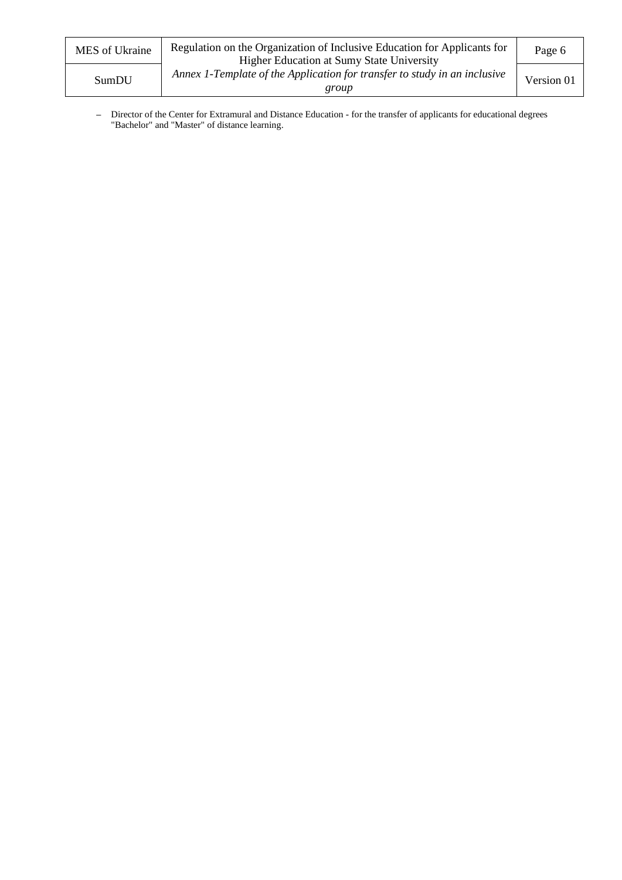| MES of Ukraine | Regulation on the Organization of Inclusive Education for Applicants for<br><b>Higher Education at Sumy State University</b> | Page 6     |
|----------------|------------------------------------------------------------------------------------------------------------------------------|------------|
| SumDU          | Annex 1-Template of the Application for transfer to study in an inclusive<br>group                                           | Version 01 |

**–** Director of the Center for Extramural and Distance Education - for the transfer of applicants for educational degrees "Bachelor" and "Master" of distance learning.